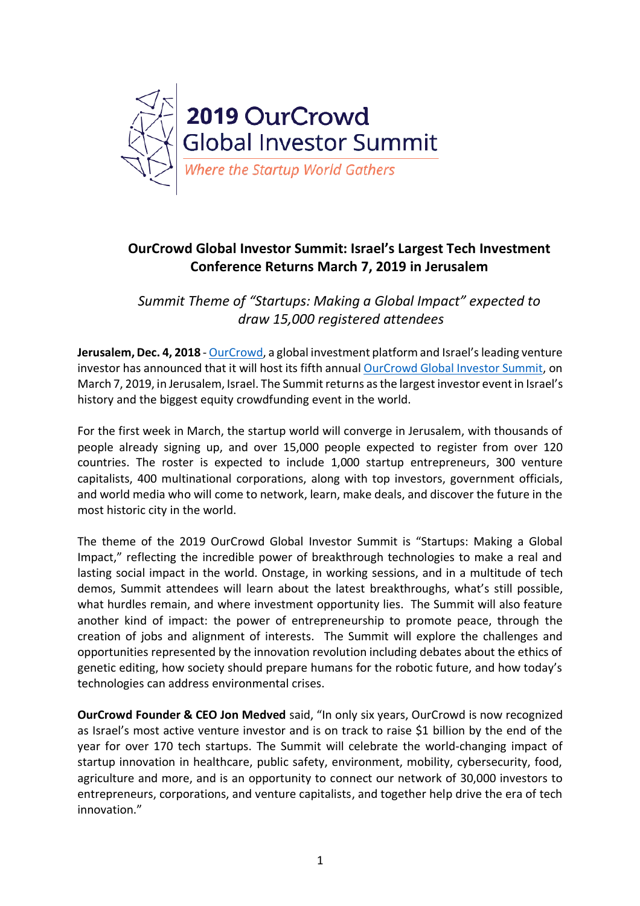

## **OurCrowd Global Investor Summit: Israel's Largest Tech Investment Conference Returns March 7, 2019 in Jerusalem**

*Summit Theme of "Startups: Making a Global Impact" expected to draw 15,000 registered attendees*

**Jerusalem, Dec. 4, 2018** - [OurCrowd,](http://www.ourcrowd.com/) a global investment platform and Israel's leading venture investor has announced that it will host its fifth annual [OurCrowd Global Investor Summit,](http://summit.ourcrowd.com/) on March 7, 2019, in Jerusalem, Israel. The Summit returns as the largest investor event in Israel's history and the biggest equity crowdfunding event in the world.

For the first week in March, the startup world will converge in Jerusalem, with thousands of people already signing up, and over 15,000 people expected to register from over 120 countries. The roster is expected to include 1,000 startup entrepreneurs, 300 venture capitalists, 400 multinational corporations, along with top investors, government officials, and world media who will come to network, learn, make deals, and discover the future in the most historic city in the world.

The theme of the 2019 OurCrowd Global Investor Summit is "Startups: Making a Global Impact," reflecting the incredible power of breakthrough technologies to make a real and lasting social impact in the world. Onstage, in working sessions, and in a multitude of tech demos, Summit attendees will learn about the latest breakthroughs, what's still possible, what hurdles remain, and where investment opportunity lies. The Summit will also feature another kind of impact: the power of entrepreneurship to promote peace, through the creation of jobs and alignment of interests. The Summit will explore the challenges and opportunities represented by the innovation revolution including debates about the ethics of genetic editing, how society should prepare humans for the robotic future, and how today's technologies can address environmental crises.

**OurCrowd Founder & CEO Jon Medved** said, "In only six years, OurCrowd is now recognized as Israel's most active venture investor and is on track to raise \$1 billion by the end of the year for over 170 tech startups. The Summit will celebrate the world-changing impact of startup innovation in healthcare, public safety, environment, mobility, cybersecurity, food, agriculture and more, and is an opportunity to connect our network of 30,000 investors to entrepreneurs, corporations, and venture capitalists, and together help drive the era of tech innovation."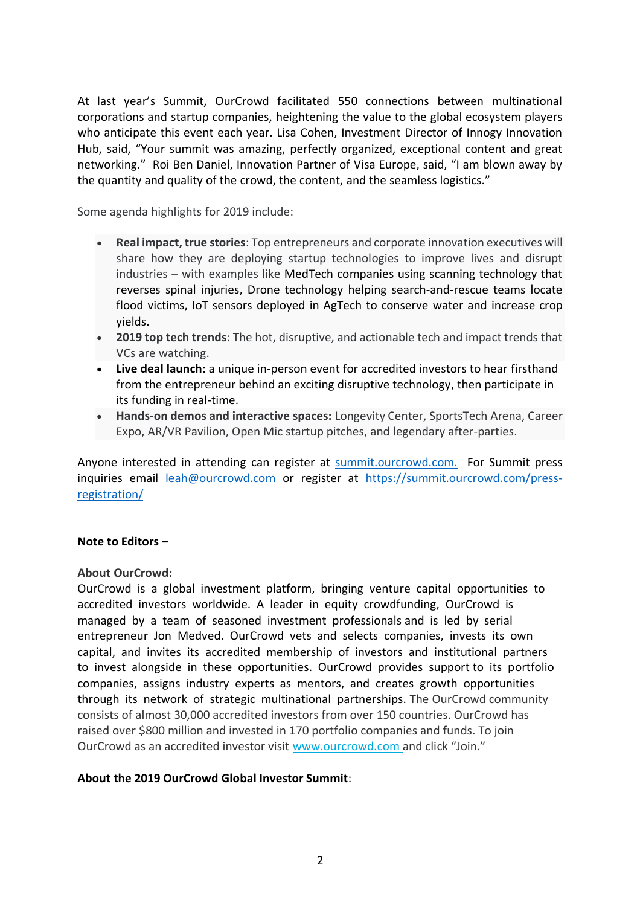At last year's Summit, OurCrowd facilitated 550 connections between multinational corporations and startup companies, heightening the value to the global ecosystem players who anticipate this event each year. Lisa Cohen, Investment Director of Innogy Innovation Hub, said, "Your summit was amazing, perfectly organized, exceptional content and great networking." Roi Ben Daniel, Innovation Partner of Visa Europe, said, "I am blown away by the quantity and quality of the crowd, the content, and the seamless logistics."

Some agenda highlights for 2019 include:

- **Real impact, true stories**: Top entrepreneurs and corporate innovation executives will share how they are deploying startup technologies to improve lives and disrupt industries – with examples like MedTech companies using scanning technology that reverses spinal injuries, Drone technology helping search-and-rescue teams locate flood victims, IoT sensors deployed in AgTech to conserve water and increase crop yields.
- **2019 top tech trends**: The hot, disruptive, and actionable tech and impact trends that VCs are watching.
- **Live deal launch:** a unique in-person event for accredited investors to hear firsthand from the entrepreneur behind an exciting disruptive technology, then participate in its funding in real-time.
- **Hands-on demos and interactive spaces:** Longevity Center, SportsTech Arena, Career Expo, AR/VR Pavilion, Open Mic startup pitches, and legendary after-parties.

Anyone interested in attending can register at [summit.ourcrowd.com.](http://summit.ourcrowd.com/) For Summit press inquiries email [leah@ourcrowd.com](mailto:leah@ourcrowd.com) or register at [https://summit.ourcrowd.com/press](https://summit.ourcrowd.com/press-registration/)[registration/](https://summit.ourcrowd.com/press-registration/)

## **Note to Editors –**

## **About OurCrowd:**

OurCrowd is a global investment platform, bringing venture capital opportunities to accredited investors worldwide. A leader in equity crowdfunding, OurCrowd is managed by a team of seasoned investment professionals and is led by serial entrepreneur Jon Medved. OurCrowd vets and selects companies, invests its own capital, and invites its accredited membership of investors and institutional partners to invest alongside in these opportunities. OurCrowd provides support to its portfolio companies, assigns industry experts as mentors, and creates growth opportunities through its network of strategic multinational partnerships. The OurCrowd community consists of almost 30,000 accredited investors from over 150 countries. OurCrowd has raised over \$800 million and invested in 170 portfolio companies and funds. To join OurCrowd as an accredited investor visit [www.ourcrowd.com](http://www.ourcrowd.com/) and click "Join."

## **About the 2019 OurCrowd Global Investor Summit**: